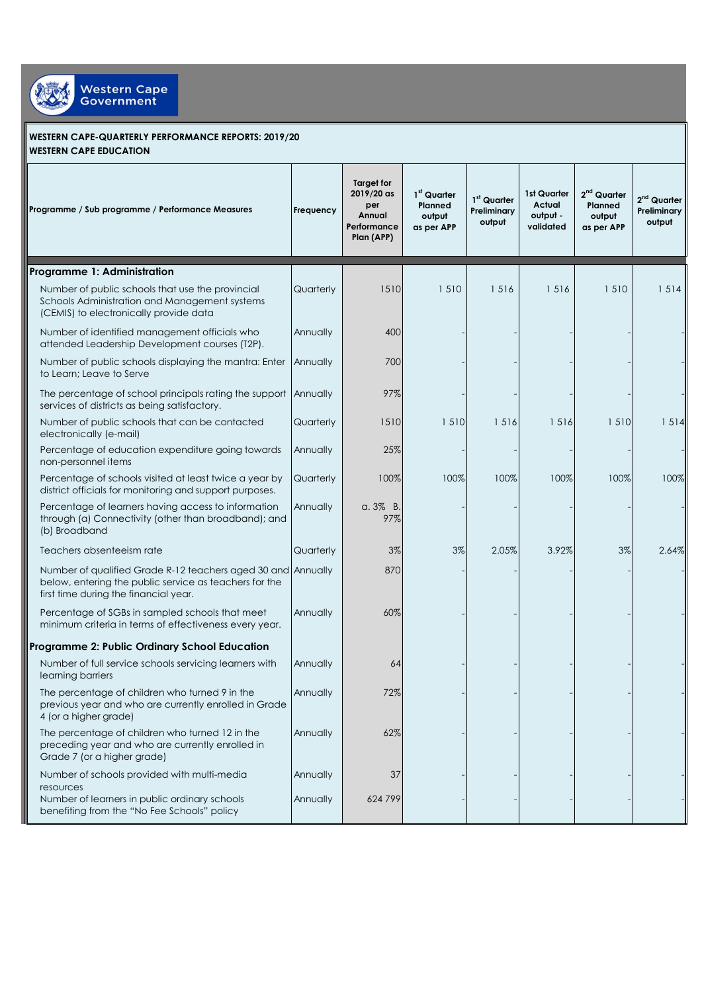

## **WESTERN CAPE-QUARTERLY PERFORMANCE REPORTS: 2019/20 WESTERN CAPE EDUCATION**

| Programme / Sub programme / Performance Measures                                                                                                                | Frequency | Target for<br>2019/20 as<br>per<br>Annual<br>Performance<br>Plan (APP) | 1 <sup>st</sup> Quarter<br>Planned<br>output<br>as per APP | 1st Quarter<br>Preliminary<br>output | 1st Quarter<br>Actual<br>output -<br>validated | 2 <sup>nd</sup> Quarter<br>Planned<br>output<br>as per APP | 2 <sup>nd</sup> Quarter<br><b>Preliminary</b><br>output |
|-----------------------------------------------------------------------------------------------------------------------------------------------------------------|-----------|------------------------------------------------------------------------|------------------------------------------------------------|--------------------------------------|------------------------------------------------|------------------------------------------------------------|---------------------------------------------------------|
| Programme 1: Administration                                                                                                                                     |           |                                                                        |                                                            |                                      |                                                |                                                            |                                                         |
| Number of public schools that use the provincial<br>Schools Administration and Management systems<br>(CEMIS) to electronically provide data                     | Quarterly | 1510                                                                   | 1510                                                       | 1516                                 | 1516                                           | 1510                                                       | 1514                                                    |
| Number of identified management officials who<br>attended Leadership Development courses (T2P).                                                                 | Annually  | 400                                                                    |                                                            |                                      |                                                |                                                            |                                                         |
| Number of public schools displaying the mantra: Enter<br>to Learn; Leave to Serve                                                                               | Annually  | 700                                                                    |                                                            |                                      |                                                |                                                            |                                                         |
| The percentage of school principals rating the support Annually<br>services of districts as being satisfactory.                                                 |           | 97%                                                                    |                                                            |                                      |                                                |                                                            |                                                         |
| Number of public schools that can be contacted<br>electronically (e-mail)                                                                                       | Quarterly | 1510                                                                   | 1510                                                       | 1516                                 | 1516                                           | 1510                                                       | 1514                                                    |
| Percentage of education expenditure going towards<br>non-personnel items                                                                                        | Annually  | 25%                                                                    |                                                            |                                      |                                                |                                                            |                                                         |
| Percentage of schools visited at least twice a year by<br>district officials for monitoring and support purposes.                                               | Quarterly | 100%                                                                   | 100%                                                       | 100%                                 | 100%                                           | 100%                                                       | 100%                                                    |
| Percentage of learners having access to information<br>through (a) Connectivity (other than broadband); and<br>(b) Broadband                                    | Annually  | $a.3\%$ B.<br>97%                                                      |                                                            |                                      |                                                |                                                            |                                                         |
| Teachers absenteeism rate                                                                                                                                       | Quarterly | 3%                                                                     | 3%                                                         | 2.05%                                | 3.92%                                          | 3%                                                         | 2.64%                                                   |
| Number of qualified Grade R-12 teachers aged 30 and Annually<br>below, entering the public service as teachers for the<br>first time during the financial year. |           | 870                                                                    |                                                            |                                      |                                                |                                                            |                                                         |
| Percentage of SGBs in sampled schools that meet<br>minimum criteria in terms of effectiveness every year.                                                       | Annually  | 60%                                                                    |                                                            |                                      |                                                |                                                            |                                                         |
| Programme 2: Public Ordinary School Education                                                                                                                   |           |                                                                        |                                                            |                                      |                                                |                                                            |                                                         |
| Number of full service schools servicing learners with<br>learning barriers                                                                                     | Annually  | 64                                                                     |                                                            |                                      |                                                |                                                            |                                                         |
| The percentage of children who turned 9 in the<br>previous year and who are currently enrolled in Grade<br>4 (or a higher grade)                                | Annually  | 72%                                                                    |                                                            |                                      |                                                |                                                            |                                                         |
| The percentage of children who turned 12 in the<br>preceding year and who are currently enrolled in<br>Grade 7 (or a higher grade)                              | Annually  | 62%                                                                    |                                                            |                                      |                                                |                                                            |                                                         |
| Number of schools provided with multi-media                                                                                                                     | Annually  | 37                                                                     |                                                            |                                      |                                                |                                                            |                                                         |
| resources<br>Number of learners in public ordinary schools<br>benefiting from the "No Fee Schools" policy                                                       | Annually  | 624799                                                                 |                                                            |                                      |                                                |                                                            |                                                         |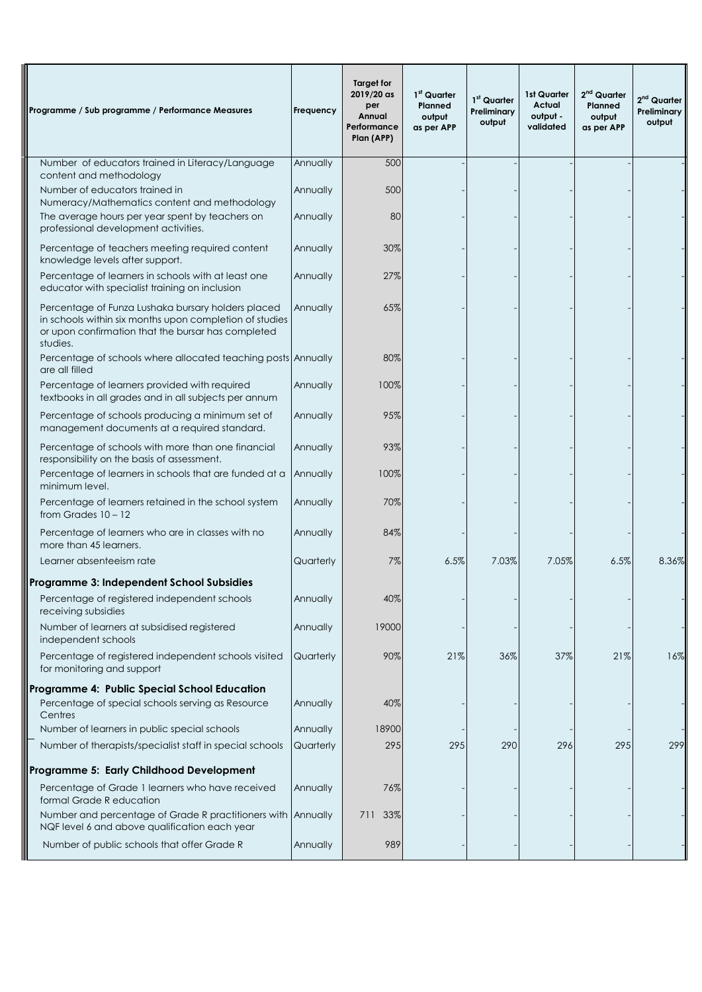| Programme / Sub programme / Performance Measures                                                                                                                                | Frequency | Target for<br>2019/20 as<br>per<br>Annual<br>Performance<br>Plan (APP) | 1 <sup>st</sup> Quarter<br>Planned<br>output<br>as per APP | 1st Quarter<br>Preliminary<br>output | 1st Quarter<br><b>Actual</b><br>output -<br>validated | $2nd$ Quarter<br>Planned<br>output<br>as per APP | $2nd$ Quarter<br>Preliminary<br>output |
|---------------------------------------------------------------------------------------------------------------------------------------------------------------------------------|-----------|------------------------------------------------------------------------|------------------------------------------------------------|--------------------------------------|-------------------------------------------------------|--------------------------------------------------|----------------------------------------|
| Number of educators trained in Literacy/Language<br>content and methodology                                                                                                     | Annually  | 500                                                                    |                                                            |                                      |                                                       |                                                  |                                        |
| Number of educators trained in<br>Numeracy/Mathematics content and methodology                                                                                                  | Annually  | 500                                                                    |                                                            |                                      |                                                       |                                                  |                                        |
| The average hours per year spent by teachers on<br>professional development activities.                                                                                         | Annually  | 80                                                                     |                                                            |                                      |                                                       |                                                  |                                        |
| Percentage of teachers meeting required content<br>knowledge levels after support.                                                                                              | Annually  | 30%                                                                    |                                                            |                                      |                                                       |                                                  |                                        |
| Percentage of learners in schools with at least one<br>educator with specialist training on inclusion                                                                           | Annually  | 27%                                                                    |                                                            |                                      |                                                       |                                                  |                                        |
| Percentage of Funza Lushaka bursary holders placed<br>in schools within six months upon completion of studies<br>or upon confirmation that the bursar has completed<br>studies. | Annually  | 65%                                                                    |                                                            |                                      |                                                       |                                                  |                                        |
| Percentage of schools where allocated teaching posts Annually<br>are all filled                                                                                                 |           | 80%                                                                    |                                                            |                                      |                                                       |                                                  |                                        |
| Percentage of learners provided with required<br>textbooks in all grades and in all subjects per annum                                                                          | Annually  | 100%                                                                   |                                                            |                                      |                                                       |                                                  |                                        |
| Percentage of schools producing a minimum set of<br>management documents at a required standard.                                                                                | Annually  | 95%                                                                    |                                                            |                                      |                                                       |                                                  |                                        |
| Percentage of schools with more than one financial<br>responsibility on the basis of assessment.                                                                                | Annually  | 93%                                                                    |                                                            |                                      |                                                       |                                                  |                                        |
| Percentage of learners in schools that are funded at a<br>minimum level.                                                                                                        | Annually  | 100%                                                                   |                                                            |                                      |                                                       |                                                  |                                        |
| Percentage of learners retained in the school system<br>from Grades $10 - 12$                                                                                                   | Annually  | 70%                                                                    |                                                            |                                      |                                                       |                                                  |                                        |
| Percentage of learners who are in classes with no<br>more than 45 learners.                                                                                                     | Annually  | 84%                                                                    |                                                            |                                      |                                                       |                                                  |                                        |
| Learner absenteeism rate                                                                                                                                                        | Quarterly | 7%                                                                     | 6.5%                                                       | 7.03%                                | 7.05%                                                 | 6.5%                                             | 8.36%                                  |
| Programme 3: Independent School Subsidies                                                                                                                                       |           |                                                                        |                                                            |                                      |                                                       |                                                  |                                        |
| Percentage of registered independent schools<br>receiving subsidies                                                                                                             | Annually  | 40%                                                                    |                                                            |                                      |                                                       |                                                  |                                        |
| Number of learners at subsidised registered<br>independent schools                                                                                                              | Annually  | 19000                                                                  |                                                            |                                      |                                                       |                                                  |                                        |
| Percentage of registered independent schools visited<br>for monitoring and support                                                                                              | Quarterly | 90%                                                                    | 21%                                                        | 36%                                  | 37%                                                   | 21%                                              | 16%                                    |
| Programme 4: Public Special School Education                                                                                                                                    |           |                                                                        |                                                            |                                      |                                                       |                                                  |                                        |
| Percentage of special schools serving as Resource<br>Centres                                                                                                                    | Annually  | 40%                                                                    |                                                            |                                      |                                                       |                                                  |                                        |
| Number of learners in public special schools                                                                                                                                    | Annually  | 18900                                                                  |                                                            |                                      |                                                       |                                                  |                                        |
| Number of therapists/specialist staff in special schools                                                                                                                        | Quarterly | 295                                                                    | 295                                                        | 290                                  | 296                                                   | 295                                              | 299                                    |
| Programme 5: Early Childhood Development                                                                                                                                        |           |                                                                        |                                                            |                                      |                                                       |                                                  |                                        |
| Percentage of Grade 1 learners who have received<br>formal Grade R education                                                                                                    | Annually  | 76%                                                                    |                                                            |                                      |                                                       |                                                  |                                        |
| Number and percentage of Grade R practitioners with Annually<br>NQF level 6 and above qualification each year                                                                   |           | 33%<br>711                                                             |                                                            |                                      |                                                       |                                                  |                                        |
| Number of public schools that offer Grade R                                                                                                                                     | Annually  | 989                                                                    |                                                            |                                      |                                                       |                                                  |                                        |

 $\overline{\phantom{a}}$